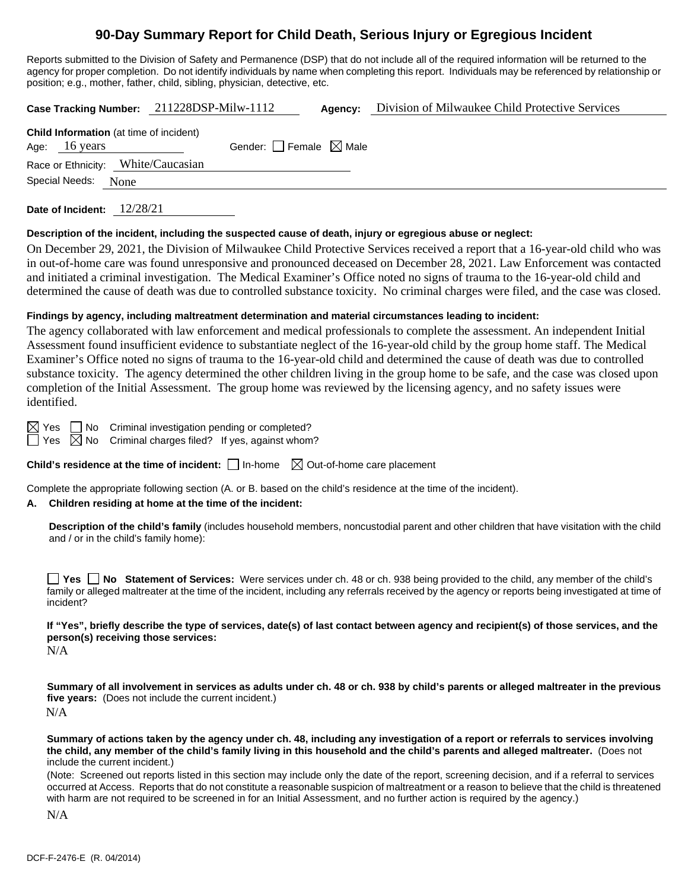# **90-Day Summary Report for Child Death, Serious Injury or Egregious Incident**

Reports submitted to the Division of Safety and Permanence (DSP) that do not include all of the required information will be returned to the agency for proper completion. Do not identify individuals by name when completing this report. Individuals may be referenced by relationship or position; e.g., mother, father, child, sibling, physician, detective, etc.

**Case Tracking Number:** 211228DSP-Milw-1112 **Agency:** Division of Milwaukee Child Protective Services **Child Information** (at time of incident) Age:  $16 \text{ years}$  Gender: Female  $\boxtimes$  Male Race or Ethnicity: White/Caucasian Special Needs: None

**Date of Incident:** 12/28/21

#### **Description of the incident, including the suspected cause of death, injury or egregious abuse or neglect:**

On December 29, 2021, the Division of Milwaukee Child Protective Services received a report that a 16-year-old child who was in out-of-home care was found unresponsive and pronounced deceased on December 28, 2021. Law Enforcement was contacted and initiated a criminal investigation. The Medical Examiner's Office noted no signs of trauma to the 16-year-old child and determined the cause of death was due to controlled substance toxicity. No criminal charges were filed, and the case was closed.

## **Findings by agency, including maltreatment determination and material circumstances leading to incident:**

The agency collaborated with law enforcement and medical professionals to complete the assessment. An independent Initial Assessment found insufficient evidence to substantiate neglect of the 16-year-old child by the group home staff. The Medical Examiner's Office noted no signs of trauma to the 16-year-old child and determined the cause of death was due to controlled substance toxicity. The agency determined the other children living in the group home to be safe, and the case was closed upon completion of the Initial Assessment. The group home was reviewed by the licensing agency, and no safety issues were identified.

 $\boxtimes$  Yes  $\Box$  No Criminal investigation pending or completed?

 $\Box$  Yes  $\boxtimes$  No Criminal charges filed? If yes, against whom?

**Child's residence at the time of incident:**  $\Box$  In-home  $\Box$  Out-of-home care placement

Complete the appropriate following section (A. or B. based on the child's residence at the time of the incident).

## **A. Children residing at home at the time of the incident:**

**Description of the child's family** (includes household members, noncustodial parent and other children that have visitation with the child and / or in the child's family home):

**Yes No Statement of Services:** Were services under ch. 48 or ch. 938 being provided to the child, any member of the child's family or alleged maltreater at the time of the incident, including any referrals received by the agency or reports being investigated at time of incident?

**If "Yes", briefly describe the type of services, date(s) of last contact between agency and recipient(s) of those services, and the person(s) receiving those services:**

N/A

**Summary of all involvement in services as adults under ch. 48 or ch. 938 by child's parents or alleged maltreater in the previous five years:** (Does not include the current incident.) N/A

**Summary of actions taken by the agency under ch. 48, including any investigation of a report or referrals to services involving the child, any member of the child's family living in this household and the child's parents and alleged maltreater.** (Does not include the current incident.)

(Note: Screened out reports listed in this section may include only the date of the report, screening decision, and if a referral to services occurred at Access. Reports that do not constitute a reasonable suspicion of maltreatment or a reason to believe that the child is threatened with harm are not required to be screened in for an Initial Assessment, and no further action is required by the agency.)

N/A